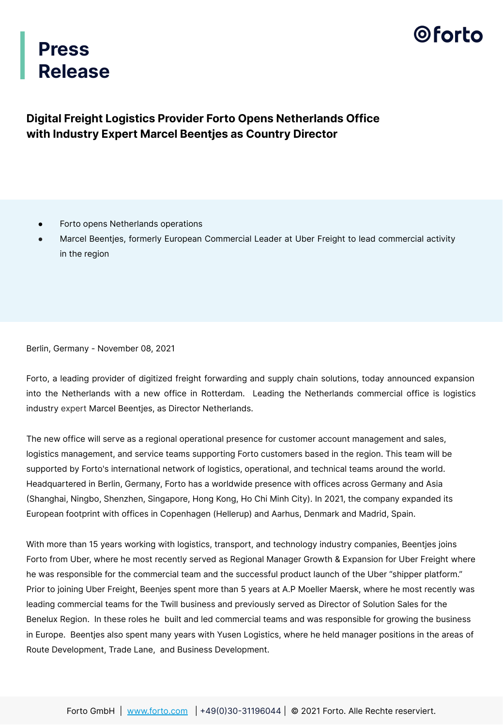

## **Press Release**

### **Digital Freight Logistics Provider Forto Opens Netherlands Office with Industry Expert Marcel Beentjes as Country Director**

- Forto opens Netherlands operations
- Marcel Beentjes, formerly European Commercial Leader at Uber Freight to lead commercial activity in the region

Berlin, Germany - November 08, 2021

Forto, a leading provider of digitized freight forwarding and supply chain solutions, today announced expansion into the Netherlands with a new office in Rotterdam. Leading the Netherlands commercial office is logistics industry expert Marcel Beentjes, as Director Netherlands.

The new office will serve as a regional operational presence for customer account management and sales, logistics management, and service teams supporting Forto customers based in the region. This team will be supported by Forto's international network of logistics, operational, and technical teams around the world. Headquartered in Berlin, Germany, Forto has a worldwide presence with offices across Germany and Asia (Shanghai, Ningbo, Shenzhen, Singapore, Hong Kong, Ho Chi Minh City). In 2021, the company expanded its European footprint with offices in Copenhagen (Hellerup) and Aarhus, Denmark and Madrid, Spain.

With more than 15 years working with logistics, transport, and technology industry companies, Beentjes joins Forto from Uber, where he most recently served as Regional Manager Growth & Expansion for Uber Freight where he was responsible for the commercial team and the successful product launch of the Uber "shipper platform." Prior to joining Uber Freight, Beenjes spent more than 5 years at A.P Moeller Maersk, where he most recently was leading commercial teams for the Twill business and previously served as Director of Solution Sales for the Benelux Region. In these roles he built and led commercial teams and was responsible for growing the business in Europe. Beentjes also spent many years with Yusen Logistics, where he held manager positions in the areas of Route Development, Trade Lane, and Business Development.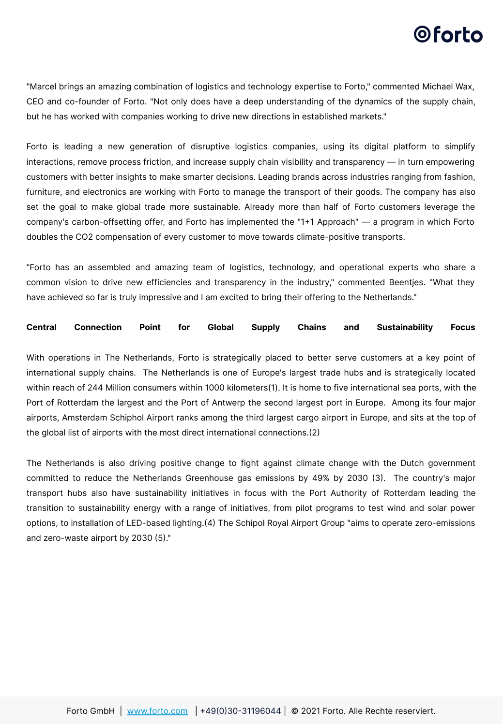## 0 forto

"Marcel brings an amazing combination of logistics and technology expertise to Forto," commented Michael Wax, CEO and co-founder of Forto. "Not only does have a deep understanding of the dynamics of the supply chain, but he has worked with companies working to drive new directions in established markets."

Forto is leading a new generation of disruptive logistics companies, using its digital platform to simplify interactions, remove process friction, and increase supply chain visibility and transparency — in turn empowering customers with better insights to make smarter decisions. Leading brands across industries ranging from fashion, furniture, and electronics are working with Forto to manage the transport of their goods. The company has also set the goal to make global trade more sustainable. Already more than half of Forto customers leverage the company's carbon-offsetting offer, and Forto has implemented the "1+1 Approach" — a program in which Forto doubles the CO2 compensation of every customer to move towards climate-positive transports.

"Forto has an assembled and amazing team of logistics, technology, and operational experts who share a common vision to drive new efficiencies and transparency in the industry," commented Beentjes. "What they have achieved so far is truly impressive and I am excited to bring their offering to the Netherlands."

#### **Central Connection Point for Global Supply Chains and Sustainability Focus**

With operations in The Netherlands, Forto is strategically placed to better serve customers at a key point of international supply chains. The Netherlands is one of Europe's largest trade hubs and is strategically located within reach of 244 Million consumers within 1000 kilometers(1). It is home to five international sea ports, with the Port of Rotterdam the largest and the Port of Antwerp the second largest port in Europe. Among its four major airports, Amsterdam Schiphol Airport ranks among the third largest cargo airport in Europe, and sits at the top of the global list of airports with the most direct international connections.(2)

The Netherlands is also driving positive change to fight against climate change with the Dutch government committed to reduce the Netherlands Greenhouse gas emissions by 49% by 2030 (3). The country's major transport hubs also have sustainability initiatives in focus with the Port Authority of Rotterdam leading the transition to sustainability energy with a range of initiatives, from pilot programs to test wind and solar power options, to installation of LED-based lighting.(4) The Schipol Royal Airport Group "aims to operate zero-emissions and zero-waste airport by 2030 (5)."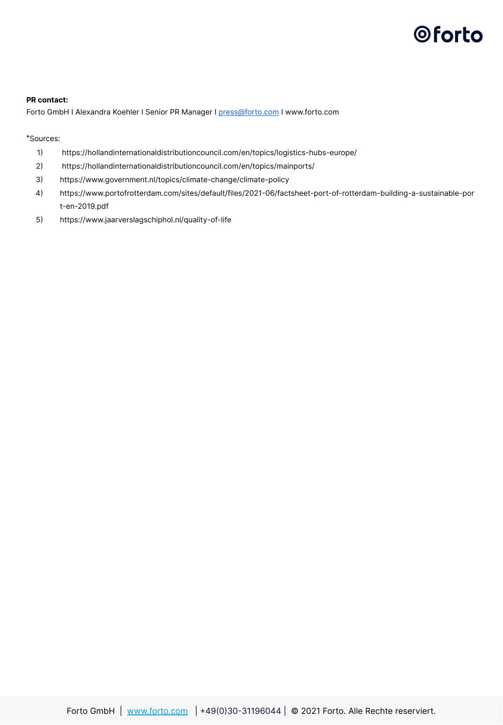# **Oforto**

#### **PR contact:**

Forto GmbH I Alexandra Koehler I Senior PR Manager I [press@forto.com](mailto:press@forto.com) I www.forto.com

\*Sources:

- 1) https://hollandinternationaldistributioncouncil.com/en/topics/logistics-hubs-europe/
- 2 https://hollandinternationaldistributioncouncil.com/en/topics/mainports/
- 3 https://www.government.nl/topics/climate-change/climate-policy
- 4 https://www.portofrotterdam.com/sites/default/files/202106/factsheet-port-of-rotterdam-building-a-sustainable-por t-en-2019.pdf
- 5 https://www.jaarverslagschiphol.nl/quality-of-life